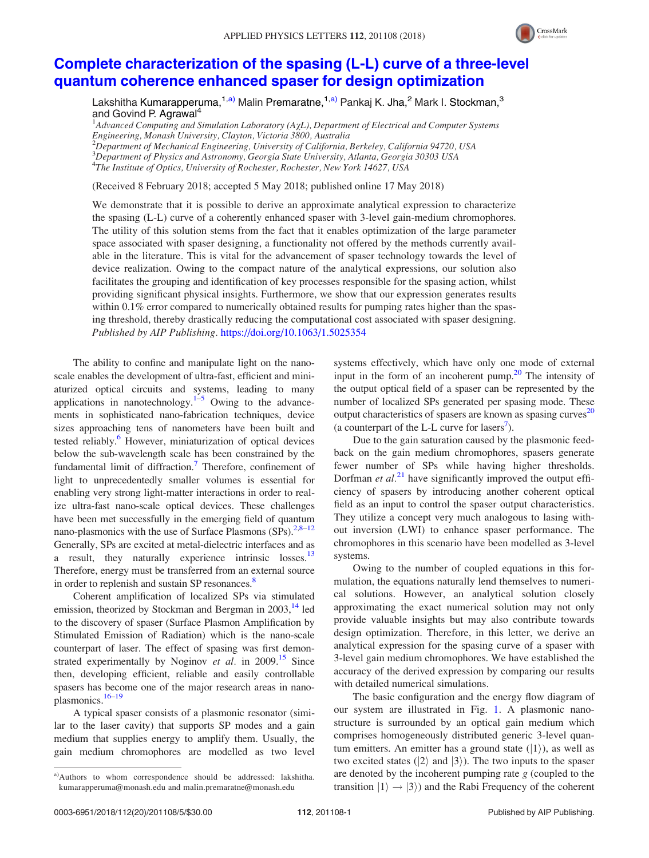

## [Complete characterization of the spasing \(L-L\) curve of a three-level](https://doi.org/10.1063/1.5025354) [quantum coherence enhanced spaser for design optimization](https://doi.org/10.1063/1.5025354)

Lakshitha Kumarapperuma,<sup>1,a)</sup> Malin Premaratne,<sup>1,a)</sup> Pankaj K. Jha,<sup>2</sup> Mark I. Stockman,<sup>3</sup> and Govind P. Agrawal<sup>4</sup>

<sup>1</sup>Advanced Computing and Simulation Laboratory (A $\chi$ L), Department of Electrical and Computer Systems Engineering, Monash University, Clayton, Victoria 3800, Australia

 $^2$ Department of Mechanical Engineering, University of California, Berkeley, California 94720, USA

<sup>3</sup>Department of Physics and Astronomy, Georgia State University, Atlanta, Georgia 30303 USA

<sup>4</sup>The Institute of Optics, University of Rochester, Rochester, New York 14627, USA

(Received 8 February 2018; accepted 5 May 2018; published online 17 May 2018)

We demonstrate that it is possible to derive an approximate analytical expression to characterize the spasing (L-L) curve of a coherently enhanced spaser with 3-level gain-medium chromophores. The utility of this solution stems from the fact that it enables optimization of the large parameter space associated with spaser designing, a functionality not offered by the methods currently available in the literature. This is vital for the advancement of spaser technology towards the level of device realization. Owing to the compact nature of the analytical expressions, our solution also facilitates the grouping and identification of key processes responsible for the spasing action, whilst providing significant physical insights. Furthermore, we show that our expression generates results within 0.1% error compared to numerically obtained results for pumping rates higher than the spasing threshold, thereby drastically reducing the computational cost associated with spaser designing. Published by AIP Publishing. <https://doi.org/10.1063/1.5025354>

The ability to confine and manipulate light on the nanoscale enables the development of ultra-fast, efficient and miniaturized optical circuits and systems, leading to many applications in nanotechnology. $1-5$  Owing to the advancements in sophisticated nano-fabrication techniques, device sizes approaching tens of nanometers have been built and tested reliably.<sup>6</sup> However, miniaturization of optical devices below the sub-wavelength scale has been constrained by the fundamental limit of diffraction.<sup>7</sup> Therefore, confinement of light to unprecedentedly smaller volumes is essential for enabling very strong light-matter interactions in order to realize ultra-fast nano-scale optical devices. These challenges have been met successfully in the emerging field of quantum nano-plasmonics with the use of Surface Plasmons  $(SPs)$ <sup>[2,8–12](#page-4-0)</sup> Generally, SPs are excited at metal-dielectric interfaces and as a result, they naturally experience intrinsic losses.<sup>[13](#page-4-0)</sup> Therefore, energy must be transferred from an external source in order to replenish and sustain SP resonances.<sup>8</sup>

Coherent amplification of localized SPs via stimulated emission, theorized by Stockman and Bergman in 2003,<sup>[14](#page-4-0)</sup> led to the discovery of spaser (Surface Plasmon Amplification by Stimulated Emission of Radiation) which is the nano-scale counterpart of laser. The effect of spasing was first demonstrated experimentally by Noginov *et al.* in 2009.<sup>[15](#page-4-0)</sup> Since then, developing efficient, reliable and easily controllable spasers has become one of the major research areas in nano-plasmonics.<sup>[16–19](#page-4-0)</sup>

A typical spaser consists of a plasmonic resonator (similar to the laser cavity) that supports SP modes and a gain medium that supplies energy to amplify them. Usually, the gain medium chromophores are modelled as two level systems effectively, which have only one mode of external input in the form of an incoherent pump. $2<sup>0</sup>$  The intensity of the output optical field of a spaser can be represented by the number of localized SPs generated per spasing mode. These output characteristics of spasers are known as spasing curves<sup>[20](#page-4-0)</sup> (a counterpart of the L-L curve for lasers<sup>[7](#page-4-0)</sup>).

Due to the gain saturation caused by the plasmonic feedback on the gain medium chromophores, spasers generate fewer number of SPs while having higher thresholds. Dorfman et  $al^{21}$  $al^{21}$  $al^{21}$  have significantly improved the output efficiency of spasers by introducing another coherent optical field as an input to control the spaser output characteristics. They utilize a concept very much analogous to lasing without inversion (LWI) to enhance spaser performance. The chromophores in this scenario have been modelled as 3-level systems.

Owing to the number of coupled equations in this formulation, the equations naturally lend themselves to numerical solutions. However, an analytical solution closely approximating the exact numerical solution may not only provide valuable insights but may also contribute towards design optimization. Therefore, in this letter, we derive an analytical expression for the spasing curve of a spaser with 3-level gain medium chromophores. We have established the accuracy of the derived expression by comparing our results with detailed numerical simulations.

The basic configuration and the energy flow diagram of our system are illustrated in Fig. [1.](#page-1-0) A plasmonic nanostructure is surrounded by an optical gain medium which comprises homogeneously distributed generic 3-level quantum emitters. An emitter has a ground state  $(|1\rangle)$ , as well as two excited states ( $|2\rangle$  and  $|3\rangle$ ). The two inputs to the spaser are denoted by the incoherent pumping rate  $g$  (coupled to the transition  $|1\rangle \rightarrow |3\rangle$  and the Rabi Frequency of the coherent

a)Authors to whom correspondence should be addressed: [lakshitha.](mailto:lakshitha.kumarapperuma@monash.edu) [kumarapperuma@monash.edu](mailto:lakshitha.kumarapperuma@monash.edu) and [malin.premaratne@monash.edu](mailto:malin.premaratne@monash.edu)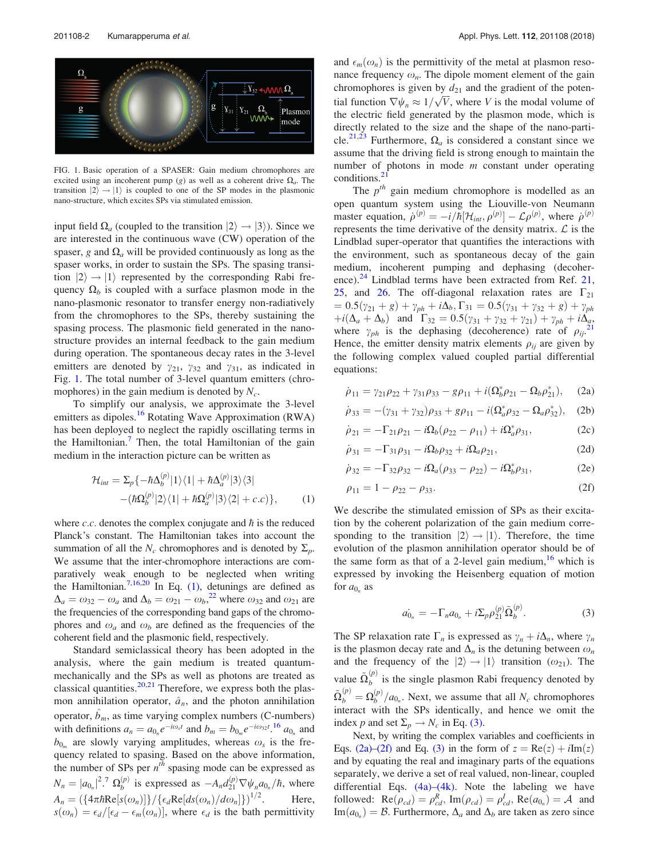<span id="page-1-0"></span>

FIG. 1. Basic operation of a SPASER: Gain medium chromophores are excited using an incoherent pump (g) as well as a coherent drive  $\Omega_a$ . The transition  $|2\rangle \rightarrow |1\rangle$  is coupled to one of the SP modes in the plasmonic nano-structure, which excites SPs via stimulated emission.

input field  $\Omega_a$  (coupled to the transition  $|2\rangle \rightarrow |3\rangle$ ). Since we are interested in the continuous wave (CW) operation of the spaser, g and  $\Omega_a$  will be provided continuously as long as the spaser works, in order to sustain the SPs. The spasing transition  $|2\rangle \rightarrow |1\rangle$  represented by the corresponding Rabi frequency  $\Omega_b$  is coupled with a surface plasmon mode in the nano-plasmonic resonator to transfer energy non-radiatively from the chromophores to the SPs, thereby sustaining the spasing process. The plasmonic field generated in the nanostructure provides an internal feedback to the gain medium during operation. The spontaneous decay rates in the 3-level emitters are denoted by  $\gamma_{21}$ ,  $\gamma_{32}$  and  $\gamma_{31}$ , as indicated in Fig. 1. The total number of 3-level quantum emitters (chromophores) in the gain medium is denoted by  $N_c$ .

To simplify our analysis, we approximate the 3-level emitters as dipoles.<sup>[16](#page-4-0)</sup> Rotating Wave Approximation (RWA) has been deployed to neglect the rapidly oscillating terms in the Hamiltonian.<sup>[7](#page-4-0)</sup> Then, the total Hamiltonian of the gain medium in the interaction picture can be written as

$$
\mathcal{H}_{int} = \sum_{p} \{ -\hbar \Delta_{b}^{(p)} |1\rangle\langle 1| + \hbar \Delta_{a}^{(p)} |3\rangle\langle 3|
$$

$$
- (\hbar \Omega_{b}^{(p)} |2\rangle\langle 1| + \hbar \Omega_{a}^{(p)} |3\rangle\langle 2| + c.c) \}, \qquad (1)
$$

where  $c.c.$  denotes the complex conjugate and  $\hbar$  is the reduced Planck's constant. The Hamiltonian takes into account the summation of all the  $N_c$  chromophores and is denoted by  $\Sigma_p$ . We assume that the inter-chromophore interactions are comparatively weak enough to be neglected when writing the Hamiltonian.<sup>7,16,[20](#page-4-0)</sup> In Eq. (1), detunings are defined as  $\Delta_a = \omega_{32} - \omega_a$  and  $\Delta_b = \omega_{21} - \omega_b$ <sup>[22](#page-4-0)</sup>, where  $\omega_{32}$  and  $\omega_{21}$  are the frequencies of the corresponding band gaps of the chromophores and  $\omega_a$  and  $\omega_b$  are defined as the frequencies of the coherent field and the plasmonic field, respectively.

Standard semiclassical theory has been adopted in the analysis, where the gain medium is treated quantummechanically and the SPs as well as photons are treated as classical quantities. $20,21$  $20,21$  $20,21$  Therefore, we express both the plasmon annihilation operator,  $\hat{a}_n$ , and the photon annihilation operator,  $\hat{b}_m$ , as time varying complex numbers (C-numbers) with definitions  $a_n = a_{0n} e^{-i\omega_s t}$  and  $b_m = b_{0m} e^{-i\omega_{32} t}$ .<sup>[16](#page-4-0)</sup>  $a_{0n}$  and  $b_{0_m}$  are slowly varying amplitudes, whereas  $\omega_s$  is the frequency related to spasing. Based on the above information, the number of SPs per  $n<sup>th</sup>$  spasing mode can be expressed as  $N_n = |a_{0_n}|^2$ .  $\Omega_b^{(p)}$  is expressed as  $-A_n d_{21}^{(p)} \nabla \psi_n a_{0_n}/\hbar$ , where  $A_n = \left(\frac{4\pi\hbar\mathrm{Re}[s(\omega_n)]}{\epsilon_d\mathrm{Re}[ds(\omega_n)/d\omega_n]\}\right)^{1/2}$ . Here,  $s(\omega_n) = \epsilon_d/[\epsilon_d - \epsilon_m(\omega_n)],$  where  $\epsilon_d$  is the bath permittivity

and  $\epsilon_m(\omega_n)$  is the permittivity of the metal at plasmon resonance frequency  $\omega_n$ . The dipole moment element of the gain chromophores is given by  $d_{21}$  and the gradient of the potentrial function  $\nabla \psi_n \approx 1/\sqrt{V}$ , where V is the modal volume of the electric field generated by the plasmon mode, which is directly related to the size and the shape of the nano-parti-cle.<sup>[21,23](#page-4-0)</sup> Furthermore,  $\Omega_a$  is considered a constant since we assume that the driving field is strong enough to maintain the number of photons in mode  $m$  constant under operating conditions.<sup>2</sup>

The  $p^{th}$  gain medium chromophore is modelled as an open quantum system using the Liouville-von Neumann master equation,  $\dot{\rho}^{(p)} = -i/\hbar [\mathcal{H}_{int}, \rho^{(p)}] - \mathcal{L} \rho^{(p)}$ , where  $\dot{\rho}^{(p)}$ represents the time derivative of the density matrix.  $\mathcal{L}$  is the Lindblad super-operator that quantifies the interactions with the environment, such as spontaneous decay of the gain medium, incoherent pumping and dephasing (decoherence). $^{24}$  $^{24}$  $^{24}$  Lindblad terms have been extracted from Ref. [21](#page-4-0), [25](#page-4-0), and [26.](#page-4-0) The off-diagonal relaxation rates are  $\Gamma_{21}$  $= 0.5(\gamma_{21} + g) + \gamma_{ph} + i\Delta_b, \Gamma_{31} = 0.5(\gamma_{31} + \gamma_{32} + g) + \gamma_{ph}$  $+i(\Delta_a + \Delta_b)$  and  $\Gamma_{32} = 0.5(\gamma_{31} + \gamma_{32} + \gamma_{21}) + \gamma_{ph} + i\Delta_a$  $\Gamma_{32} = 0.5(\gamma_{31} + \gamma_{32} + \gamma_{21}) + \gamma_{ph} + i\Delta_a$  $\Gamma_{32} = 0.5(\gamma_{31} + \gamma_{32} + \gamma_{21}) + \gamma_{ph} + i\Delta_a$ , where  $\gamma_{ph}$  is the dephasing (decoherence) rate of  $\rho_{ii}$ . Hence, the emitter density matrix elements  $\rho_{ij}$  are given by the following complex valued coupled partial differential equations:

$$
\dot{\rho}_{11} = \gamma_{21}\rho_{22} + \gamma_{31}\rho_{33} - g\rho_{11} + i(\Omega_b^* \rho_{21} - \Omega_b \rho_{21}^*), \quad (2a)
$$

$$
\dot{\rho}_{33} = -(\gamma_{31} + \gamma_{32})\rho_{33} + g\rho_{11} - i(\Omega_a^* \rho_{32} - \Omega_a \rho_{32}^*), \quad (2b)
$$

$$
\dot{\rho}_{21} = -\Gamma_{21}\rho_{21} - i\Omega_b(\rho_{22} - \rho_{11}) + i\Omega_a^* \rho_{31},\tag{2c}
$$

$$
\dot{\rho}_{31} = -\Gamma_{31}\rho_{31} - i\Omega_b\rho_{32} + i\Omega_a\rho_{21},\tag{2d}
$$

$$
\dot{\rho}_{32} = -\Gamma_{32}\rho_{32} - i\Omega_a(\rho_{33} - \rho_{22}) - i\Omega_b^* \rho_{31},\tag{2e}
$$

$$
\rho_{11} = 1 - \rho_{22} - \rho_{33}.\tag{2f}
$$

We describe the stimulated emission of SPs as their excitation by the coherent polarization of the gain medium corresponding to the transition  $|2\rangle \rightarrow |1\rangle$ . Therefore, the time evolution of the plasmon annihilation operator should be of the same form as that of a 2-level gain medium,  $16$  which is expressed by invoking the Heisenberg equation of motion for  $a_{0n}$  as

$$
a_{0_n} = -\Gamma_n a_{0_n} + i \Sigma_p \rho_{21}^{(p)} \tilde{\Omega}_b^{(p)}.
$$
 (3)

The SP relaxation rate  $\Gamma_n$  is expressed as  $\gamma_n + i\Delta_n$ , where  $\gamma_n$ is the plasmon decay rate and  $\Delta_n$  is the detuning between  $\omega_n$ and the frequency of the  $|2\rangle \rightarrow |1\rangle$  transition ( $\omega_{21}$ ). The value  $\tilde{\Omega}_{b}^{(p)}$  is the single plasmon Rabi frequency denoted by  $\tilde{\Omega}_{b}^{(p)} = \Omega_{b}^{(p)}/a_{0_n}$ . Next, we assume that all  $N_c$  chromophores interact with the SPs identically, and hence we omit the index p and set  $\Sigma_p \rightarrow N_c$  in Eq. (3).

Next, by writing the complex variables and coefficients in Eqs. (2a)–(2f) and Eq. (3) in the form of  $z = \text{Re}(z) + i\text{Im}(z)$ and by equating the real and imaginary parts of the equations separately, we derive a set of real valued, non-linear, coupled differential Eqs.  $(4a)$ – $(4k)$ . Note the labeling we have followed:  $\text{Re}(\rho_{cd}) = \rho_{cd}^R$ ,  $\text{Im}(\rho_{cd}) = \rho_{cd}^I$ ,  $\text{Re}(a_{0_n}) = A$  and  $\text{Im}(a_{0n}) = \mathcal{B}$ . Furthermore,  $\Delta_a$  and  $\Delta_b$  are taken as zero since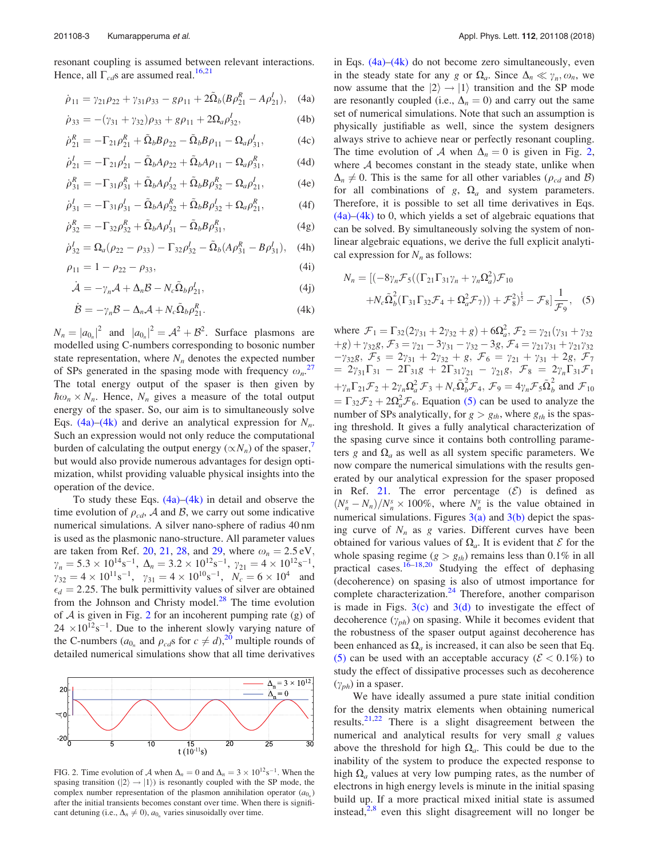<span id="page-2-0"></span>resonant coupling is assumed between relevant interactions. Hence, all  $\Gamma_{cd}$ s are assumed real.<sup>[16,21](#page-4-0)</sup>

$$
\dot{\rho}_{11} = \gamma_{21}\rho_{22} + \gamma_{31}\rho_{33} - g\rho_{11} + 2\tilde{\Omega}_b(B\rho_{21}^R - A\rho_{21}^I), \quad (4a)
$$

$$
\dot{\rho}_{33} = -(\gamma_{31} + \gamma_{32})\rho_{33} + g\rho_{11} + 2\Omega_a \rho_{32}^I, \tag{4b}
$$

$$
\dot{\rho}_{21}^R = -\Gamma_{21}\rho_{21}^R + \tilde{\Omega}_b B \rho_{22} - \tilde{\Omega}_b B \rho_{11} - \Omega_a \rho_{31}^I, \tag{4c}
$$

$$
\dot{\rho}_{21}^{I} = -\Gamma_{21}\rho_{21}^{I} - \tilde{\Omega}_{b}A\rho_{22} + \tilde{\Omega}_{b}A\rho_{11} - \Omega_{a}\rho_{31}^{R},
$$
(4d)

$$
\dot{\rho}_{31}^R = -\Gamma_{31}\rho_{31}^R + \tilde{\Omega}_b A \rho_{32}^I + \tilde{\Omega}_b B \rho_{32}^R - \Omega_a \rho_{21}^I, \tag{4e}
$$

$$
\dot{\rho}_{31}^{I} = -\Gamma_{31}\rho_{31}^{I} - \tilde{\Omega}_{b}A\rho_{32}^{R} + \tilde{\Omega}_{b}B\rho_{32}^{I} + \Omega_{a}\rho_{21}^{R},
$$
 (4f)

$$
\dot{\rho}_{32}^R = -\Gamma_{32}\rho_{32}^R + \tilde{\Omega}_b A \rho_{31}^I - \tilde{\Omega}_b B \rho_{31}^R, \tag{4g}
$$

$$
\dot{\rho}_{32}^I = \Omega_a (\rho_{22} - \rho_{33}) - \Gamma_{32} \rho_{32}^I - \tilde{\Omega}_b (A \rho_{31}^R - B \rho_{31}^I), \quad (4h)
$$

$$
\rho_{11} = 1 - \rho_{22} - \rho_{33},\tag{4i}
$$

$$
\dot{\mathcal{A}} = -\gamma_n \mathcal{A} + \Delta_n \mathcal{B} - N_c \tilde{\Omega}_b \rho_{21}^I,
$$
\n(4j)

$$
\dot{\mathcal{B}} = -\gamma_n \mathcal{B} - \Delta_n \mathcal{A} + N_c \tilde{\Omega}_b \rho_{21}^R.
$$
 (4k)

 $N_n = |a_{0_n}|^2$  and  $|a_{0_n}|^2 = \mathcal{A}^2 + \mathcal{B}^2$ . Surface plasmons are modelled using C-numbers corresponding to bosonic number state representation, where  $N_n$  denotes the expected number of SPs generated in the spasing mode with frequency  $\omega_n$ .<sup>[27](#page-4-0)</sup> The total energy output of the spaser is then given by  $\hbar \omega_n \times N_n$ . Hence,  $N_n$  gives a measure of the total output energy of the spaser. So, our aim is to simultaneously solve Eqs. (4a)–(4k) and derive an analytical expression for  $N_n$ . Such an expression would not only reduce the computational burden of calculating the output energy  $(\propto N_n)$  of the spaser,<sup>1</sup> but would also provide numerous advantages for design optimization, whilst providing valuable physical insights into the operation of the device.

To study these Eqs.  $(4a)$ – $(4k)$  in detail and observe the time evolution of  $\rho_{cd}$ , A and B, we carry out some indicative numerical simulations. A silver nano-sphere of radius 40 nm is used as the plasmonic nano-structure. All parameter values are taken from Ref. [20,](#page-4-0) [21,](#page-4-0) [28](#page-4-0), and [29](#page-4-0), where  $\omega_n = 2.5 \text{ eV}$ ,  $\gamma_n = 5.3 \times 10^{14} \text{s}^{-1}, \ \Delta_n = 3.2 \times 10^{12} \text{s}^{-1}, \ \gamma_{21} = 4 \times 10^{12} \text{s}^{-1},$  $\gamma_{32} = 4 \times 10^{11} \text{s}^{-1}$ ,  $\gamma_{31} = 4 \times 10^{10} \text{s}^{-1}$ ,  $N_c = 6 \times 10^4$  and  $\epsilon_d = 2.25$ . The bulk permittivity values of silver are obtained from the Johnson and Christy model. $^{28}$  $^{28}$  $^{28}$  The time evolution of  $A$  is given in Fig. 2 for an incoherent pumping rate (g) of  $24 \times 10^{12}$ s<sup>-1</sup>. Due to the inherent slowly varying nature of the C-numbers ( $a_{0n}$  and  $\rho_{cd}s$  for  $c \neq d$ ),<sup>[20](#page-4-0)</sup> multiple rounds of detailed numerical simulations show that all time derivatives



FIG. 2. Time evolution of A when  $\Delta_n = 0$  and  $\Delta_n = 3 \times 10^{12} \text{s}^{-1}$ . When the spasing transition  $(|2\rangle \rightarrow |1\rangle)$  is resonantly coupled with the SP mode, the complex number representation of the plasmon annihilation operator  $(a_{0})$ after the initial transients becomes constant over time. When there is significant detuning (i.e.,  $\Delta_n \neq 0$ ),  $a_{0_n}$  varies sinusoidally over time.

in Eqs.  $(4a)$ – $(4k)$  do not become zero simultaneously, even in the steady state for any g or  $\Omega_a$ . Since  $\Delta_n \ll \gamma_n, \omega_n$ , we now assume that the  $|2\rangle \rightarrow |1\rangle$  transition and the SP mode are resonantly coupled (i.e.,  $\Delta_n = 0$ ) and carry out the same set of numerical simulations. Note that such an assumption is physically justifiable as well, since the system designers always strive to achieve near or perfectly resonant coupling. The time evolution of A when  $\Delta_n = 0$  is given in Fig. 2, where  $A$  becomes constant in the steady state, unlike when  $\Delta_n \neq 0$ . This is the same for all other variables ( $\rho_{cd}$  and B) for all combinations of g,  $\Omega_a$  and system parameters. Therefore, it is possible to set all time derivatives in Eqs.  $(4a)$ – $(4k)$  to 0, which yields a set of algebraic equations that can be solved. By simultaneously solving the system of nonlinear algebraic equations, we derive the full explicit analytical expression for  $N_n$  as follows:

$$
N_n = [(-8\gamma_n \mathcal{F}_5((\Gamma_{21}\Gamma_{31}\gamma_n + \gamma_n \Omega_a^2)\mathcal{F}_{10} +N_c \tilde{\Omega}_b^2(\Gamma_{31}\Gamma_{32}\mathcal{F}_4 + \Omega_a^2 \mathcal{F}_7)) + \mathcal{F}_8^2]^{\frac{1}{2}} - \mathcal{F}_8]^{\frac{1}{\mathcal{F}_9}},
$$
(5)

where  $\mathcal{F}_1 = \Gamma_{32}(2\gamma_{31} + 2\gamma_{32} + g) + 6\Omega_a^2$ ,  $\mathcal{F}_2 = \gamma_{21}(\gamma_{31} + \gamma_{32} + g)$  $(g+g)+\gamma_{32}g, \mathcal{F}_{3}=\gamma_{21}-3\gamma_{31}-\gamma_{32}-3g, \mathcal{F}_{4}=\gamma_{21}\gamma_{31}+\gamma_{21}\gamma_{32}$  $-\gamma_{32}g$ ,  $\mathcal{F}_5 = 2\gamma_{31} + 2\gamma_{32} + g$ ,  $\mathcal{F}_6 = \gamma_{21} + \gamma_{31} + 2g$ ,  $\mathcal{F}_7$  $= 2\gamma_{31}\Gamma_{31} - 2\Gamma_{31}g + 2\Gamma_{31}\gamma_{21} - \gamma_{21}g, \mathcal{F}_8 = 2\gamma_n\Gamma_{31}\mathcal{F}_1$  $+\gamma_n\Gamma_{21}\mathcal{F}_2+2\gamma_n\Omega_a^2\mathcal{F}_3+N_c\tilde{\Omega}_b^2\mathcal{F}_4$ ,  $\mathcal{F}_9=4\gamma_n\mathcal{F}_5\tilde{\Omega}_b^2$  and  $\mathcal{F}_{10}$  $=\Gamma_{32}\mathcal{F}_{2}+2\Omega_{a}^{2}\mathcal{F}_{6}$ . Equation (5) can be used to analyze the number of SPs analytically, for  $g > g_{th}$ , where  $g_{th}$  is the spasing threshold. It gives a fully analytical characterization of the spasing curve since it contains both controlling parameters g and  $\Omega_a$  as well as all system specific parameters. We now compare the numerical simulations with the results generated by our analytical expression for the spaser proposed in Ref. [21](#page-4-0). The error percentage  $(\mathcal{E})$  is defined as  $(N_n^s - N_n)/N_n^s \times 100\%$ , where  $N_n^s$  is the value obtained in numerical simulations. Figures  $3(a)$  and  $3(b)$  depict the spasing curve of  $N_n$  as g varies. Different curves have been obtained for various values of  $\Omega_a$ . It is evident that  $\mathcal E$  for the whole spasing regime ( $g > g_{th}$ ) remains less than 0.1% in all practical cases.<sup>[16–18,20](#page-4-0)</sup> Studying the effect of dephasing (decoherence) on spasing is also of utmost importance for complete characterization.<sup>[24](#page-4-0)</sup> Therefore, another comparison is made in Figs.  $3(c)$  and  $3(d)$  to investigate the effect of decoherence  $(\gamma_{ph})$  on spasing. While it becomes evident that the robustness of the spaser output against decoherence has been enhanced as  $\Omega_a$  is increased, it can also be seen that Eq. (5) can be used with an acceptable accuracy ( $\mathcal{E} < 0.1\%$ ) to study the effect of dissipative processes such as decoherence  $(\gamma_{ph})$  in a spaser.

We have ideally assumed a pure state initial condition for the density matrix elements when obtaining numerical results. $2^{1,22}$  There is a slight disagreement between the numerical and analytical results for very small g values above the threshold for high  $\Omega_a$ . This could be due to the inability of the system to produce the expected response to high  $\Omega_a$  values at very low pumping rates, as the number of electrons in high energy levels is minute in the initial spasing build up. If a more practical mixed initial state is assumed instead, $2.8$  even this slight disagreement will no longer be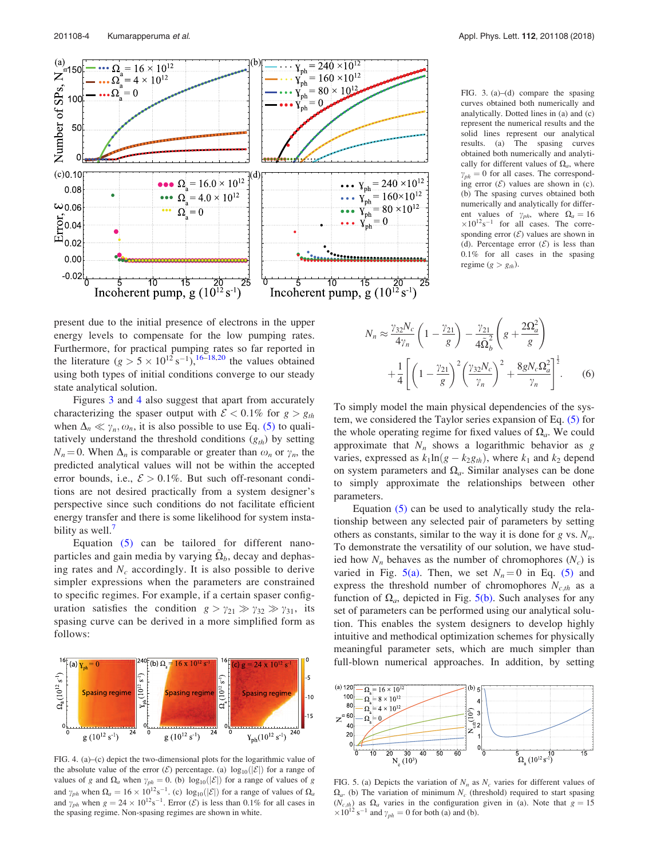<span id="page-3-0"></span>

FIG. 3. (a)–(d) compare the spasing curves obtained both numerically and analytically. Dotted lines in (a) and (c) represent the numerical results and the solid lines represent our analytical results. (a) The spasing curves obtained both numerically and analytically for different values of  $\Omega_a$ , where  $\gamma_{ph} = 0$  for all cases. The corresponding error  $(\mathcal{E})$  values are shown in (c). (b) The spasing curves obtained both numerically and analytically for different values of  $\gamma_{ph}$ , where  $\Omega_a = 16$  $\times 10^{12}$ s<sup>-1</sup> for all cases. The corresponding error  $(\mathcal{E})$  values are shown in (d). Percentage error  $(\mathcal{E})$  is less than 0.1% for all cases in the spasing regime  $(g > g_{th})$ .

present due to the initial presence of electrons in the upper energy levels to compensate for the low pumping rates. Furthermore, for practical pumping rates so far reported in the literature  $(g > 5 \times 10^{12} \text{ s}^{-1})$ , <sup>[16](#page-4-0)–[18,20](#page-4-0)</sup> the values obtained using both types of initial conditions converge to our steady state analytical solution.

Figures 3 and 4 also suggest that apart from accurately characterizing the spaser output with  $\mathcal{E} < 0.1\%$  for  $g > g_{th}$ when  $\Delta_n \ll \gamma_n, \omega_n$ , it is also possible to use Eq. [\(5\)](#page-2-0) to qualitatively understand the threshold conditions  $(g_{th})$  by setting  $N_n = 0$ . When  $\Delta_n$  is comparable or greater than  $\omega_n$  or  $\gamma_n$ , the predicted analytical values will not be within the accepted error bounds, i.e.,  $\mathcal{E} > 0.1\%$ . But such off-resonant conditions are not desired practically from a system designer's perspective since such conditions do not facilitate efficient energy transfer and there is some likelihood for system insta-bility as well.<sup>[7](#page-4-0)</sup>

Equation [\(5\)](#page-2-0) can be tailored for different nanoparticles and gain media by varying  $\Omega_b$ , decay and dephasing rates and  $N_c$  accordingly. It is also possible to derive simpler expressions when the parameters are constrained to specific regimes. For example, if a certain spaser configuration satisfies the condition  $g > \gamma_{21} \gg \gamma_{32} \gg \gamma_{31}$ , its spasing curve can be derived in a more simplified form as follows:



FIG. 4. (a)–(c) depict the two-dimensional plots for the logarithmic value of the absolute value of the error  $(\mathcal{E})$  percentage. (a)  $\log_{10}(|\mathcal{E}|)$  for a range of values of g and  $\Omega_a$  when  $\gamma_{ph} = 0$ . (b)  $\log_{10}(|\mathcal{E}|)$  for a range of values of g and  $\gamma_{ph}$  when  $\Omega_a = 16 \times 10^{12} \text{s}^{-1}$ . (c)  $\log_{10}(|\mathcal{E}|)$  for a range of values of  $\Omega_a$ and  $\gamma_{ph}$  when  $g = 24 \times 10^{12} \text{s}^{-1}$ . Error (*E*) is less than 0.1% for all cases in the spasing regime. Non-spasing regimes are shown in white.

$$
N_n \approx \frac{\gamma_{32} N_c}{4\gamma_n} \left( 1 - \frac{\gamma_{21}}{g} \right) - \frac{\gamma_{21}}{4\tilde{\Omega}_b^2} \left( g + \frac{2\Omega_a^2}{g} \right)
$$
  
+ 
$$
\frac{1}{4} \left[ \left( 1 - \frac{\gamma_{21}}{g} \right)^2 \left( \frac{\gamma_{32} N_c}{\gamma_n} \right)^2 + \frac{8gN_c \Omega_a^2}{\gamma_n} \right]^{\frac{1}{2}}.
$$
 (6)

To simply model the main physical dependencies of the system, we considered the Taylor series expansion of Eq. [\(5\)](#page-2-0) for the whole operating regime for fixed values of  $\Omega_a$ . We could approximate that  $N_n$  shows a logarithmic behavior as g varies, expressed as  $k_1 \ln(g - k_2 g_{th})$ , where  $k_1$  and  $k_2$  depend on system parameters and  $\Omega_a$ . Similar analyses can be done to simply approximate the relationships between other parameters.

Equation [\(5\)](#page-2-0) can be used to analytically study the relationship between any selected pair of parameters by setting others as constants, similar to the way it is done for g vs.  $N_n$ . To demonstrate the versatility of our solution, we have studied how  $N_n$  behaves as the number of chromophores  $(N_c)$  is varied in Fig. 5(a). Then, we set  $N_n = 0$  in Eq. [\(5\)](#page-2-0) and express the threshold number of chromophores  $N_{c,th}$  as a function of  $\Omega_a$ , depicted in Fig. 5(b). Such analyses for any set of parameters can be performed using our analytical solution. This enables the system designers to develop highly intuitive and methodical optimization schemes for physically meaningful parameter sets, which are much simpler than full-blown numerical approaches. In addition, by setting



FIG. 5. (a) Depicts the variation of  $N_n$  as  $N_c$  varies for different values of  $\Omega_a$ . (b) The variation of minimum N<sub>c</sub> (threshold) required to start spasing  $(N_{c,th})$  as  $\Omega_a$  varies in the configuration given in (a). Note that  $g = 15$  $\times 10^{12}$  s<sup>-1</sup> and  $\gamma_{ph} = 0$  for both (a) and (b).